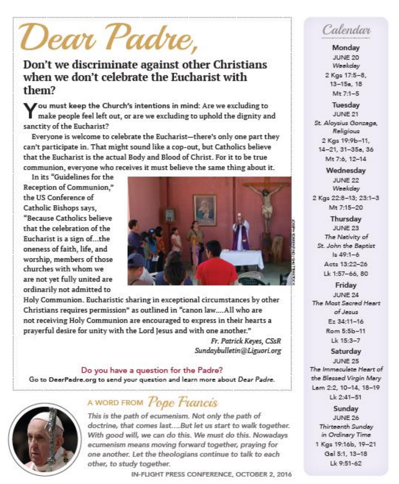# Dear Padre,

## Don't we discriminate against other Christians when we don't celebrate the Eucharist with them?

Vou must keep the Church's intentions in mind: Are we excluding to make people feel left out, or are we excluding to uphold the dignity and sanctity of the Eucharist?

Everyone is welcome to celebrate the Eucharist-there's only one part they can't participate in. That might sound like a cop-out, but Catholics believe that the Eucharist is the actual Body and Blood of Christ. For it to be true communion, everyone who receives it must believe the same thing about it.

In its "Guidelines for the Reception of Communion." the US Conference of Catholic Bishops says. "Because Catholics believe that the celebration of the Eucharist is a sign of...the oneness of faith, life, and worship, members of those churches with whom we are not vet fully united are ordinarily not admitted to



Holy Communion. Eucharistic sharing in exceptional circumstances by other Christians requires permission" as outlined in "canon law....All who are not receiving Holy Communion are encouraged to express in their hearts a prayerful desire for unity with the Lord Jesus and with one another."

> Fr. Patrick Keyes, CSsR Sundaybulletin@Liguori.org

Do you have a question for the Padre? Go to DeerPadre.org to send your question and learn more about Dear Padre.



## A WORD FROM Pope Francis

This is the path of ecumenism. Not only the path of doctrine, that comes last....But let us start to walk together. With good will, we can do this. We must do this. Nowadays ecumenism means moving forward together, praying for one another. Let the theologians continue to talk to each other, to study together.

IN-FLIGHT PRESS CONFERENCE, OCTOBER 2, 2016

# Calendar

Monday JUNE 20 Weekday 2 Kgs 17:5-8,  $13 - 15a.$  18  $Mt$  7-1-5

Tuesday JUNE 21 St. Aloysius Gonzaga. Religious 2 Kgs 19:9b-11, 14-21, 31-35a, 36 Mt 7:6, 12-14

Wednesday JUNE 22 Weekday 2 Kgs 22:8-13; 23:1-3 Mt 7:15-20

Thursday JUNE 23 The Nativity of St. John the Baptist  $1 = 49 - 1 - 6$ Acts 13:22-26 Lk 1:57-66, 80

Friday JUNE 24 The Most Secred Heart of Jesus Ez 34:11-16 Rom 5:5b-11 Lk 15:3-7

Saturday JUNE 25 The Immaculate Heart of the Blessed Virgin Mary Lam 2:2, 10-14, 18-19  $Lk$  2:41-51

Sunday **JUNE 26** Thirteenth Sunday in Ordinary Time 1 Kgs 19:16b, 19-21 Gal 5:1, 13-18  $1k9.51-62$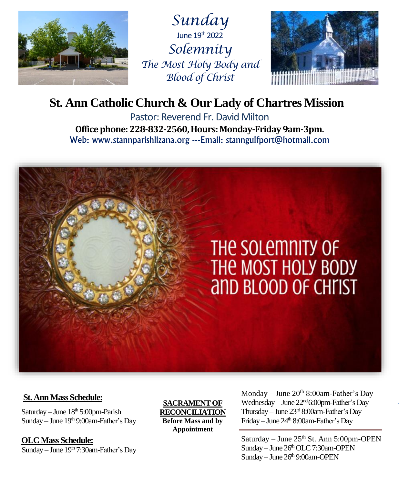

*Sunday* June  $19<sup>th</sup> 2022$ *Solemnity The Most Holy Body and Blood of Christ*



## **St. Ann Catholic Church & Our Lady of Chartres Mission**

Pastor: Reverend Fr. David Milton **Office phone: 228-832-2560, Hours: Monday-Friday 9am-3pm.** Web: www.stannparishlizana.org ---Email: stanngulfport@hotmail.com



#### **St. Ann Mass Schedule:**

Saturday – June  $18<sup>th</sup> 5:00$ pm-Parish Sunday – June 19th 9:00am-Father's Day

 **OLC Mass Schedule:** Sunday – June  $19<sup>th</sup>$  7:30am-Father's Day

**SACRAMENT OF RECONCILIATION Before Mass and by Appointment**

Monday – June 20<sup>th</sup> 8:00am-Father's Day Wednesday – June  $22<sup>nd</sup> 6:00<sub>pm</sub>$ -Father's Day Thursday – June 23rd 8:00am-Father's Day Friday – June 24<sup>th</sup> 8:00am-Father's Day

Saturday – June  $25<sup>th</sup>$  St. Ann  $5:00$ pm-OPEN Sunday – June  $26<sup>th</sup>$  OLC 7:30am-OPEN Sunday – June  $26<sup>th</sup>$  9:00am-OPEN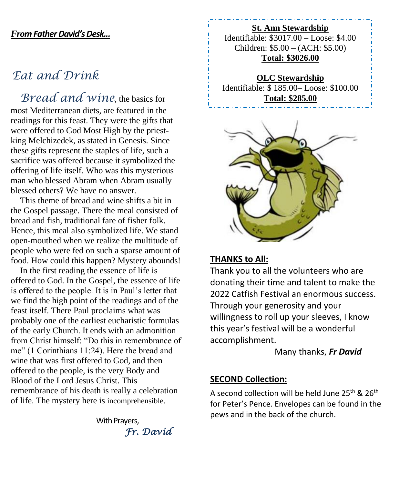#### *From Father David'sDesk...*

## *Eat and Drink*

*Bread and wine*, the basics for most Mediterranean diets, are featured in the readings for this feast. They were the gifts that were offered to God Most High by the priestking Melchizedek, as stated in Genesis. Since these gifts represent the staples of life, such a sacrifice was offered because it symbolized the offering of life itself. Who was this mysterious man who blessed Abram when Abram usually blessed others? We have no answer.

This theme of bread and wine shifts a bit in the Gospel passage. There the meal consisted of bread and fish, traditional fare of fisher folk. Hence, this meal also symbolized life. We stand open-mouthed when we realize the multitude of people who were fed on such a sparse amount of food. How could this happen? Mystery abounds!

In the first reading the essence of life is offered to God. In the Gospel, the essence of life is offered to the people. It is in Paul's letter that we find the high point of the readings and of the feast itself. There Paul proclaims what was probably one of the earliest eucharistic formulas of the early Church. It ends with an admonition from Christ himself: "Do this in remembrance of me" (1 Corinthians 11:24). Here the bread and wine that was first offered to God, and then offered to the people, is the very Body and Blood of the Lord Jesus Christ. This remembrance of his death is really a celebration of life. The mystery here is incomprehensible.

> With Prayers, *Fr. David*

**St. Ann Stewardship** Identifiable: \$3017.00 – Loose: \$4.00 Children: \$5.00 – (ACH: \$5.00) **Total: \$3026.00**

**OLC Stewardship** Identifiable: \$ 185.00– Loose: \$100.00 **Total: \$285.00**



#### **THANKS to All:**

Ī

Thank you to all the volunteers who are donating their time and talent to make the 2022 Catfish Festival an enormous success. Through your generosity and your willingness to roll up your sleeves, I know this year's festival will be a wonderful accomplishment.

Many thanks, *Fr David*

#### **SECOND Collection:**

A second collection will be held June  $25^{th}$  &  $26^{th}$ for Peter's Pence. Envelopes can be found in the pews and in the back of the church.